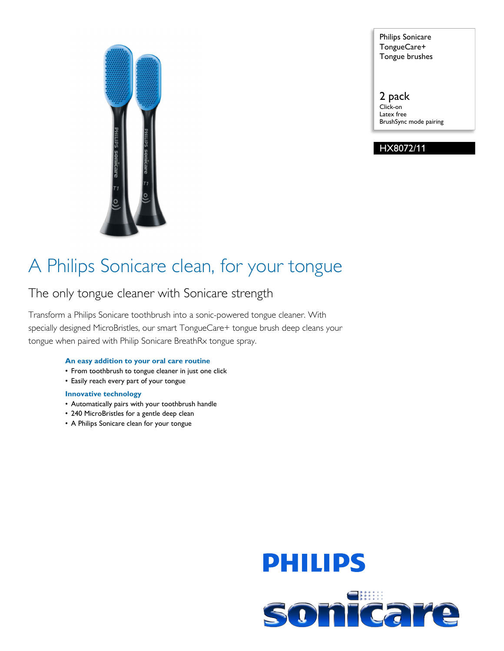

Philips Sonicare TongueCare+ Tongue brushes

2 pack Click-on Latex free BrushSync mode pairing

HX8072/11

## A Philips Sonicare clean, for your tongue

### The only tongue cleaner with Sonicare strength

Transform a Philips Sonicare toothbrush into a sonic-powered tongue cleaner. With specially designed MicroBristles, our smart TongueCare+ tongue brush deep cleans your tongue when paired with Philip Sonicare BreathRx tongue spray.

### **An easy addition to your oral care routine**

- From toothbrush to tongue cleaner in just one click
- Easily reach every part of your tongue

#### **Innovative technology**

- Automatically pairs with your toothbrush handle
- 240 MicroBristles for a gentle deep clean
- A Philips Sonicare clean for your tongue